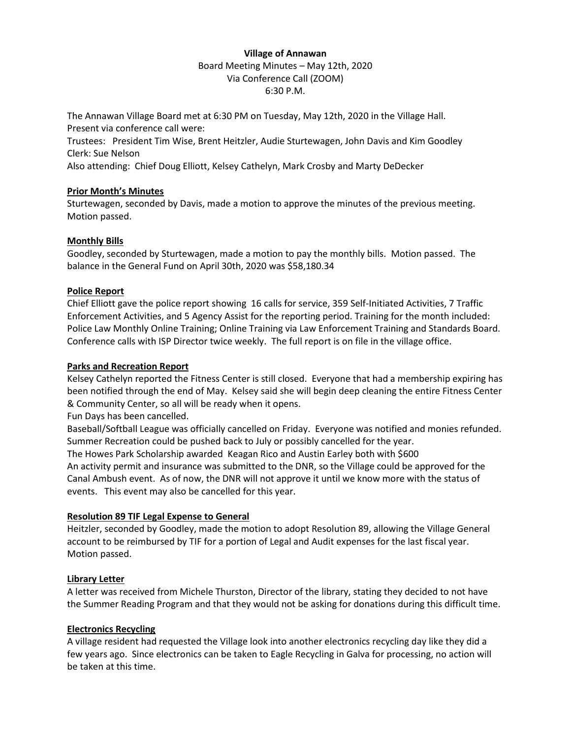# **Village of Annawan** Board Meeting Minutes – May 12th, 2020 Via Conference Call (ZOOM) 6:30 P.M.

The Annawan Village Board met at 6:30 PM on Tuesday, May 12th, 2020 in the Village Hall. Present via conference call were:

Trustees: President Tim Wise, Brent Heitzler, Audie Sturtewagen, John Davis and Kim Goodley Clerk: Sue Nelson

Also attending: Chief Doug Elliott, Kelsey Cathelyn, Mark Crosby and Marty DeDecker

## **Prior Month's Minutes**

Sturtewagen, seconded by Davis, made a motion to approve the minutes of the previous meeting. Motion passed.

## **Monthly Bills**

Goodley, seconded by Sturtewagen, made a motion to pay the monthly bills. Motion passed. The balance in the General Fund on April 30th, 2020 was \$58,180.34

### **Police Report**

Chief Elliott gave the police report showing 16 calls for service, 359 Self-Initiated Activities, 7 Traffic Enforcement Activities, and 5 Agency Assist for the reporting period. Training for the month included: Police Law Monthly Online Training; Online Training via Law Enforcement Training and Standards Board. Conference calls with ISP Director twice weekly. The full report is on file in the village office.

### **Parks and Recreation Report**

Kelsey Cathelyn reported the Fitness Center is still closed. Everyone that had a membership expiring has been notified through the end of May. Kelsey said she will begin deep cleaning the entire Fitness Center & Community Center, so all will be ready when it opens.

Fun Days has been cancelled.

Baseball/Softball League was officially cancelled on Friday. Everyone was notified and monies refunded. Summer Recreation could be pushed back to July or possibly cancelled for the year.

The Howes Park Scholarship awarded Keagan Rico and Austin Earley both with \$600

An activity permit and insurance was submitted to the DNR, so the Village could be approved for the Canal Ambush event. As of now, the DNR will not approve it until we know more with the status of events. This event may also be cancelled for this year.

#### **Resolution 89 TIF Legal Expense to General**

Heitzler, seconded by Goodley, made the motion to adopt Resolution 89, allowing the Village General account to be reimbursed by TIF for a portion of Legal and Audit expenses for the last fiscal year. Motion passed.

## **Library Letter**

A letter was received from Michele Thurston, Director of the library, stating they decided to not have the Summer Reading Program and that they would not be asking for donations during this difficult time.

## **Electronics Recycling**

A village resident had requested the Village look into another electronics recycling day like they did a few years ago. Since electronics can be taken to Eagle Recycling in Galva for processing, no action will be taken at this time.